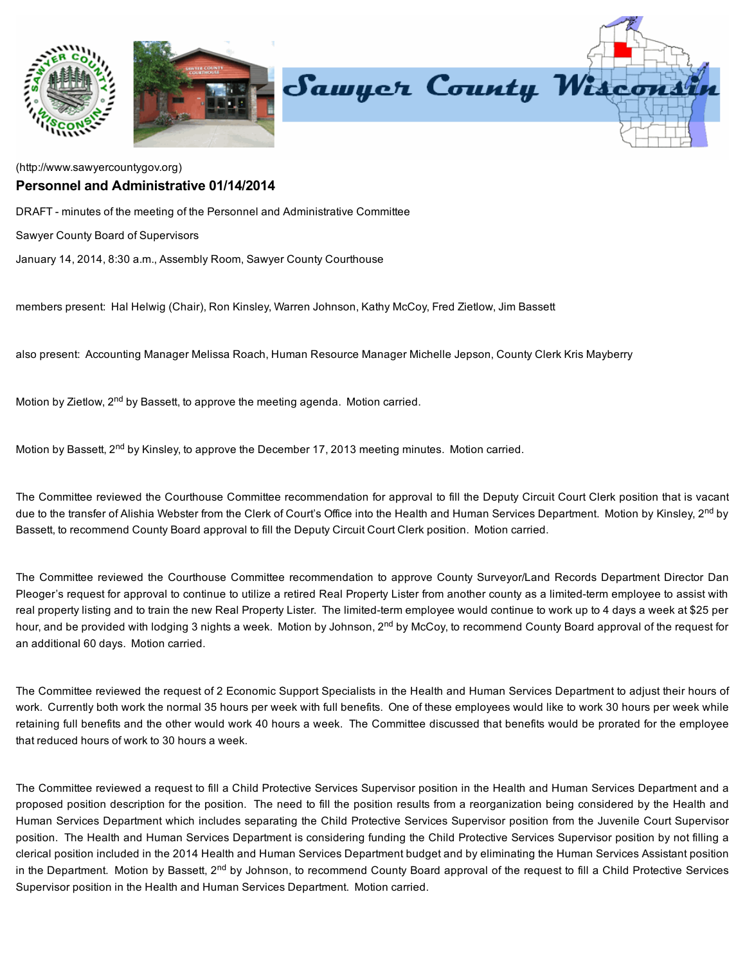

## [\(http://www.sawyercountygov.org\)](http://www.sawyercountygov.org/) Personnel and Administrative 01/14/2014

DRAFT - minutes of the meeting of the Personnel and Administrative Committee

Sawyer County Board of Supervisors

January 14, 2014, 8:30 a.m., Assembly Room, Sawyer County Courthouse

members present: Hal Helwig (Chair), Ron Kinsley, Warren Johnson, Kathy McCoy, Fred Zietlow, Jim Bassett

also present: Accounting Manager Melissa Roach, Human Resource Manager Michelle Jepson, County Clerk Kris Mayberry

Motion by Zietlow, 2<sup>nd</sup> by Bassett, to approve the meeting agenda. Motion carried.

Motion by Bassett, 2<sup>nd</sup> by Kinsley, to approve the December 17, 2013 meeting minutes. Motion carried.

The Committee reviewed the Courthouse Committee recommendation for approval to fill the Deputy Circuit Court Clerk position that is vacant due to the transfer of Alishia Webster from the Clerk of Court's Office into the Health and Human Services Department. Motion by Kinsley, 2<sup>nd</sup> by Bassett, to recommend County Board approval to fill the Deputy Circuit Court Clerk position. Motion carried.

The Committee reviewed the Courthouse Committee recommendation to approve County Surveyor/Land Records Department Director Dan Pleoger's request for approval to continue to utilize a retired Real Property Lister from another county as a limited-term employee to assist with real property listing and to train the new Real Property Lister. The limited-term employee would continue to work up to 4 days a week at \$25 per hour, and be provided with lodging 3 nights a week. Motion by Johnson, 2<sup>nd</sup> by McCoy, to recommend County Board approval of the request for an additional 60 days. Motion carried.

The Committee reviewed the request of 2 Economic Support Specialists in the Health and Human Services Department to adjust their hours of work. Currently both work the normal 35 hours per week with full benefits. One of these employees would like to work 30 hours per week while retaining full benefits and the other would work 40 hours a week. The Committee discussed that benefits would be prorated for the employee that reduced hours of work to 30 hours a week.

The Committee reviewed a request to fill a Child Protective Services Supervisor position in the Health and Human Services Department and a proposed position description for the position. The need to fill the position results from a reorganization being considered by the Health and Human Services Department which includes separating the Child Protective Services Supervisor position from the Juvenile Court Supervisor position. The Health and Human Services Department is considering funding the Child Protective Services Supervisor position by not filling a clerical position included in the 2014 Health and Human Services Department budget and by eliminating the Human Services Assistant position in the Department. Motion by Bassett, 2<sup>nd</sup> by Johnson, to recommend County Board approval of the request to fill a Child Protective Services Supervisor position in the Health and Human Services Department. Motion carried.